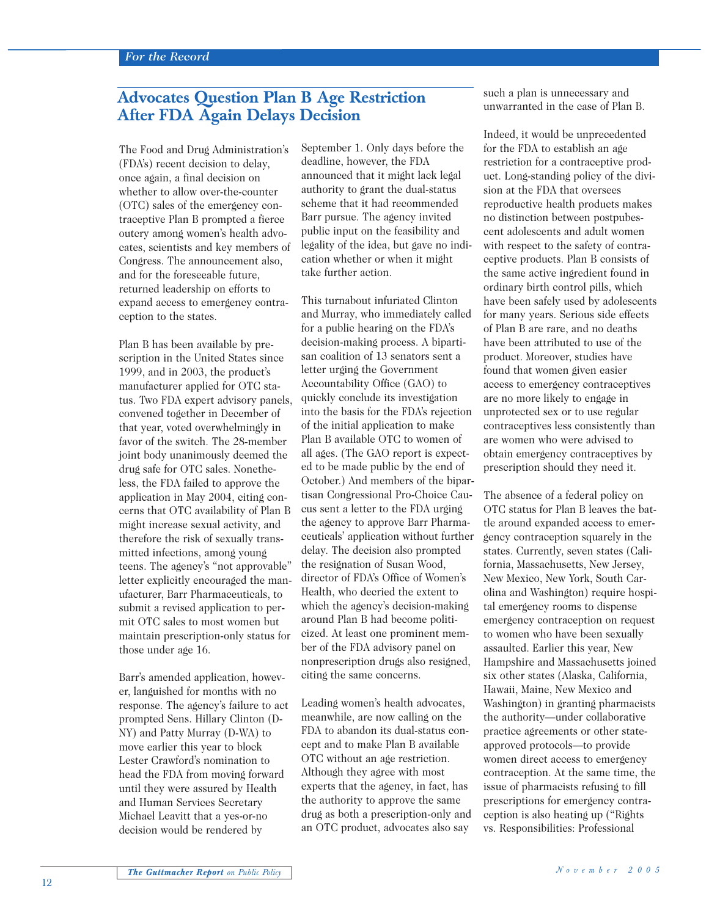## **Advocates Question Plan B Age Restriction After FDA Again Delays Decision**

The Food and Drug Administration's (FDA's) recent decision to delay, once again, a final decision on whether to allow over-the-counter (OTC) sales of the emergency contraceptive Plan B prompted a fierce outcry among women's health advocates, scientists and key members of Congress. The announcement also, and for the foreseeable future, returned leadership on efforts to expand access to emergency contraception to the states.

Plan B has been available by prescription in the United States since 1999, and in 2003, the product's manufacturer applied for OTC status. Two FDA expert advisory panels, convened together in December of that year, voted overwhelmingly in favor of the switch. The 28-member joint body unanimously deemed the drug safe for OTC sales. Nonetheless, the FDA failed to approve the application in May 2004, citing concerns that OTC availability of Plan B might increase sexual activity, and therefore the risk of sexually transmitted infections, among young teens. The agency's "not approvable" letter explicitly encouraged the manufacturer, Barr Pharmaceuticals, to submit a revised application to permit OTC sales to most women but maintain prescription-only status for those under age 16.

Barr's amended application, however, languished for months with no response. The agency's failure to act prompted Sens. Hillary Clinton (D-NY) and Patty Murray (D-WA) to move earlier this year to block Lester Crawford's nomination to head the FDA from moving forward until they were assured by Health and Human Services Secretary Michael Leavitt that a yes-or-no decision would be rendered by

September 1. Only days before the deadline, however, the FDA announced that it might lack legal authority to grant the dual-status scheme that it had recommended Barr pursue. The agency invited public input on the feasibility and legality of the idea, but gave no indication whether or when it might take further action.

This turnabout infuriated Clinton and Murray, who immediately called for a public hearing on the FDA's decision-making process. A bipartisan coalition of 13 senators sent a letter urging the Government Accountability Office (GAO) to quickly conclude its investigation into the basis for the FDA's rejection of the initial application to make Plan B available OTC to women of all ages. (The GAO report is expected to be made public by the end of October.) And members of the bipartisan Congressional Pro-Choice Caucus sent a letter to the FDA urging the agency to approve Barr Pharmaceuticals' application without further delay. The decision also prompted the resignation of Susan Wood, director of FDA's Office of Women's Health, who decried the extent to which the agency's decision-making around Plan B had become politicized. At least one prominent member of the FDA advisory panel on nonprescription drugs also resigned, citing the same concerns.

Leading women's health advocates, meanwhile, are now calling on the FDA to abandon its dual-status concept and to make Plan B available OTC without an age restriction. Although they agree with most experts that the agency, in fact, has the authority to approve the same drug as both a prescription-only and an OTC product, advocates also say

such a plan is unnecessary and unwarranted in the case of Plan B.

Indeed, it would be unprecedented for the FDA to establish an age restriction for a contraceptive product. Long-standing policy of the division at the FDA that oversees reproductive health products makes no distinction between postpubescent adolescents and adult women with respect to the safety of contraceptive products. Plan B consists of the same active ingredient found in ordinary birth control pills, which have been safely used by adolescents for many years. Serious side effects of Plan B are rare, and no deaths have been attributed to use of the product. Moreover, studies have found that women given easier access to emergency contraceptives are no more likely to engage in unprotected sex or to use regular contraceptives less consistently than are women who were advised to obtain emergency contraceptives by prescription should they need it.

The absence of a federal policy on OTC status for Plan B leaves the battle around expanded access to emergency contraception squarely in the states. Currently, seven states (California, Massachusetts, New Jersey, New Mexico, New York, South Carolina and Washington) require hospital emergency rooms to dispense emergency contraception on request to women who have been sexually assaulted. Earlier this year, New Hampshire and Massachusetts joined six other states (Alaska, California, Hawaii, Maine, New Mexico and Washington) in granting pharmacists the authority—under collaborative practice agreements or other stateapproved protocols—to provide women direct access to emergency contraception. At the same time, the issue of pharmacists refusing to fill prescriptions for emergency contraception is also heating up ("Rights vs. Responsibilities: Professional